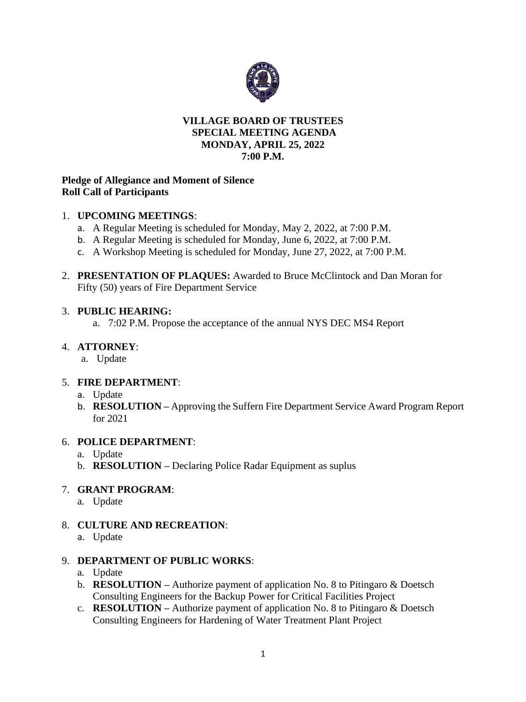

### **VILLAGE BOARD OF TRUSTEES SPECIAL MEETING AGENDA MONDAY, APRIL 25, 2022 7:00 P.M.**

### **Pledge of Allegiance and Moment of Silence Roll Call of Participants**

### 1. **UPCOMING MEETINGS**:

- a. A Regular Meeting is scheduled for Monday, May 2, 2022, at 7:00 P.M.
- b. A Regular Meeting is scheduled for Monday, June 6, 2022, at 7:00 P.M.
- c. A Workshop Meeting is scheduled for Monday, June 27, 2022, at 7:00 P.M.
- 2. **PRESENTATION OF PLAQUES:** Awarded to Bruce McClintock and Dan Moran for Fifty (50) years of Fire Department Service

### 3. **PUBLIC HEARING:**

a. 7:02 P.M. Propose the acceptance of the annual NYS DEC MS4 Report

### 4. **ATTORNEY**:

a. Update

# 5. **FIRE DEPARTMENT**:

- a. Update
- b. **RESOLUTION –** Approving the Suffern Fire Department Service Award Program Report for 2021

# 6. **POLICE DEPARTMENT**:

- a. Update
- b. **RESOLUTION –** Declaring Police Radar Equipment as suplus

# 7. **GRANT PROGRAM**:

- a. Update
- 8. **CULTURE AND RECREATION**:
	- a. Update

### 9. **DEPARTMENT OF PUBLIC WORKS**:

- a. Update
- b. **RESOLUTION –** Authorize payment of application No. 8 to Pitingaro & Doetsch Consulting Engineers for the Backup Power for Critical Facilities Project
- c. **RESOLUTION –** Authorize payment of application No. 8 to Pitingaro & Doetsch Consulting Engineers for Hardening of Water Treatment Plant Project